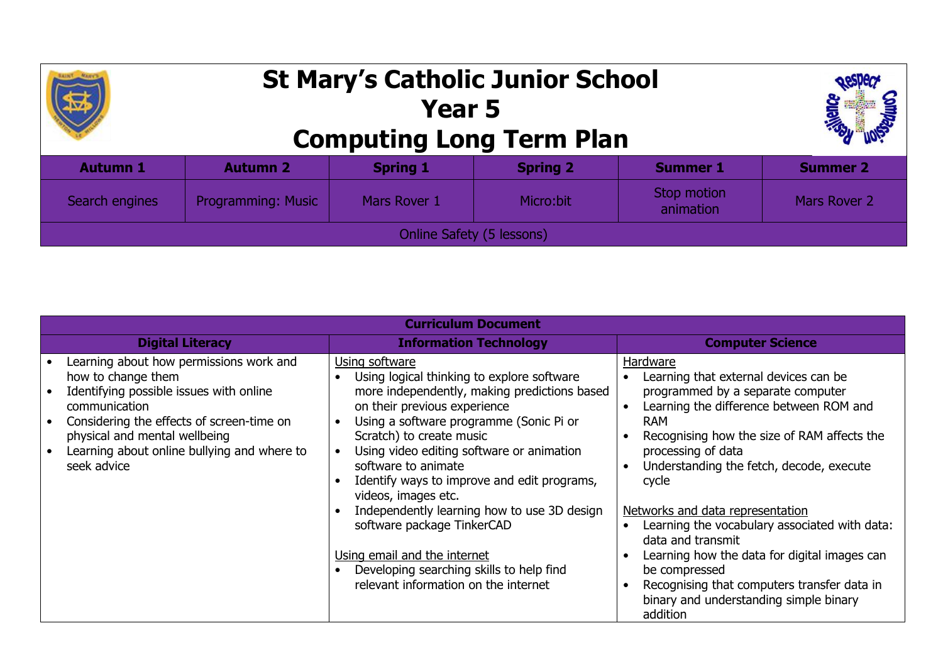## **St Mary's Catholic Junior School Year 5 Computing Long Term Plan**



| <b>Autumn 1</b>           | <b>Autumn 2</b>           | <b>Spring 1</b> | <b>Spring 2</b> | <b>Summer 1</b>          | Summer 2     |  |  |
|---------------------------|---------------------------|-----------------|-----------------|--------------------------|--------------|--|--|
| Search engines            | <b>Programming: Music</b> | Mars Rover 1    | Micro:bit       | Stop motion<br>animation | Mars Rover 2 |  |  |
| Online Safety (5 lessons) |                           |                 |                 |                          |              |  |  |

| <b>Curriculum Document</b>                                                                                                                                                                                                                                            |                                                                                                                                                                                                                                                                                                                                                                                                                                                                                                                                                                |                                                                                                                                                                                                                                                                                                                                                                                                                                                                                                                                                                                                        |  |  |  |  |  |  |
|-----------------------------------------------------------------------------------------------------------------------------------------------------------------------------------------------------------------------------------------------------------------------|----------------------------------------------------------------------------------------------------------------------------------------------------------------------------------------------------------------------------------------------------------------------------------------------------------------------------------------------------------------------------------------------------------------------------------------------------------------------------------------------------------------------------------------------------------------|--------------------------------------------------------------------------------------------------------------------------------------------------------------------------------------------------------------------------------------------------------------------------------------------------------------------------------------------------------------------------------------------------------------------------------------------------------------------------------------------------------------------------------------------------------------------------------------------------------|--|--|--|--|--|--|
| <b>Digital Literacy</b>                                                                                                                                                                                                                                               | <b>Information Technology</b>                                                                                                                                                                                                                                                                                                                                                                                                                                                                                                                                  | <b>Computer Science</b>                                                                                                                                                                                                                                                                                                                                                                                                                                                                                                                                                                                |  |  |  |  |  |  |
| Learning about how permissions work and<br>how to change them<br>Identifying possible issues with online<br>communication<br>Considering the effects of screen-time on<br>physical and mental wellbeing<br>Learning about online bullying and where to<br>seek advice | Using software<br>Using logical thinking to explore software<br>more independently, making predictions based<br>on their previous experience<br>Using a software programme (Sonic Pi or<br>Scratch) to create music<br>Using video editing software or animation<br>software to animate<br>Identify ways to improve and edit programs,<br>videos, images etc.<br>Independently learning how to use 3D design<br>software package TinkerCAD<br>Using email and the internet<br>Developing searching skills to help find<br>relevant information on the internet | Hardware<br>Learning that external devices can be<br>programmed by a separate computer<br>Learning the difference between ROM and<br>$\bullet$<br>RAM<br>Recognising how the size of RAM affects the<br>$\bullet$<br>processing of data<br>Understanding the fetch, decode, execute<br>$\bullet$<br>cycle<br>Networks and data representation<br>Learning the vocabulary associated with data:<br>$\bullet$<br>data and transmit<br>Learning how the data for digital images can<br>be compressed<br>Recognising that computers transfer data in<br>binary and understanding simple binary<br>addition |  |  |  |  |  |  |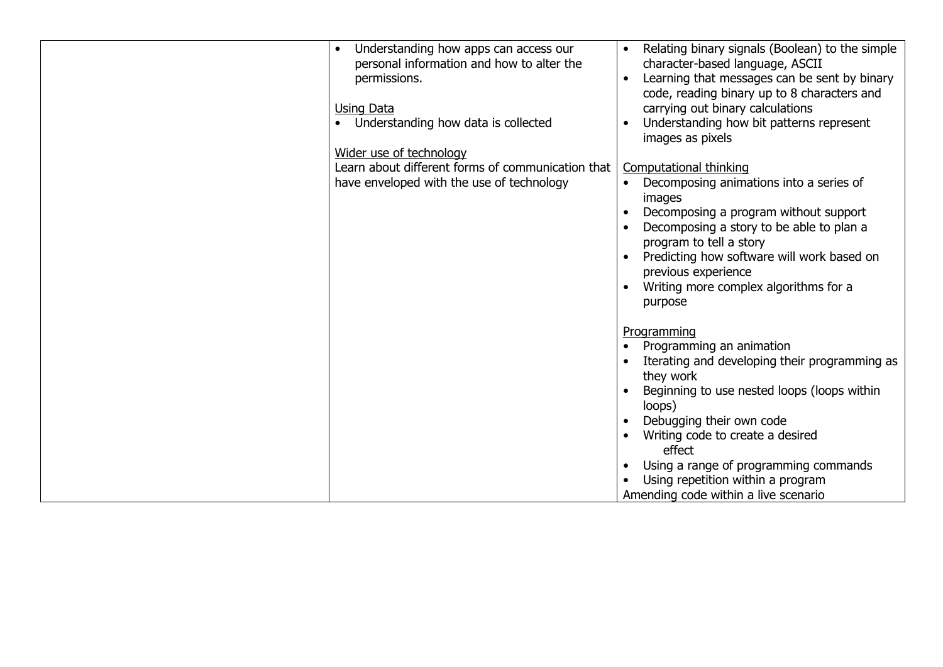| Understanding how apps can access our<br>personal information and how to alter the<br>permissions.<br><b>Using Data</b><br>Understanding how data is collected<br>Wider use of technology<br>Learn about different forms of communication that<br>have enveloped with the use of technology | Relating binary signals (Boolean) to the simple<br>character-based language, ASCII<br>Learning that messages can be sent by binary<br>code, reading binary up to 8 characters and<br>carrying out binary calculations<br>Understanding how bit patterns represent<br>images as pixels<br>Computational thinking<br>Decomposing animations into a series of<br>$\bullet$<br>images<br>Decomposing a program without support<br>Decomposing a story to be able to plan a<br>program to tell a story<br>Predicting how software will work based on<br>previous experience<br>Writing more complex algorithms for a<br>purpose |
|---------------------------------------------------------------------------------------------------------------------------------------------------------------------------------------------------------------------------------------------------------------------------------------------|----------------------------------------------------------------------------------------------------------------------------------------------------------------------------------------------------------------------------------------------------------------------------------------------------------------------------------------------------------------------------------------------------------------------------------------------------------------------------------------------------------------------------------------------------------------------------------------------------------------------------|
|                                                                                                                                                                                                                                                                                             | Programming<br>Programming an animation<br>Iterating and developing their programming as<br>they work<br>Beginning to use nested loops (loops within<br>loops)<br>Debugging their own code<br>Writing code to create a desired<br>effect<br>Using a range of programming commands<br>Using repetition within a program<br>Amending code within a live scenario                                                                                                                                                                                                                                                             |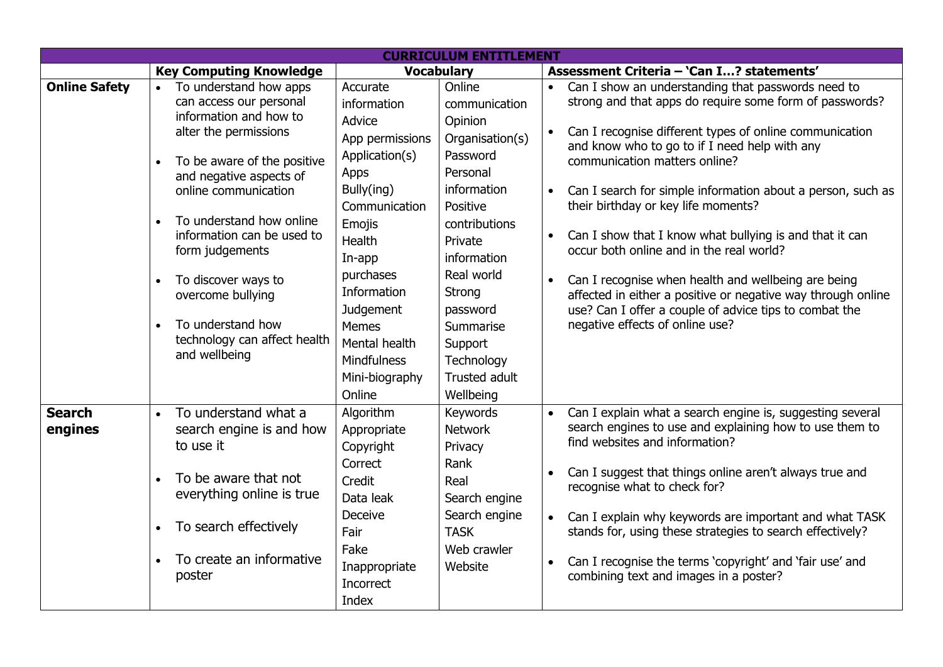| <b>CURRICULUM ENTITLEMENT</b> |           |                                                                                |                                                                          |                                                                  |           |                                                                                                                                                                               |  |
|-------------------------------|-----------|--------------------------------------------------------------------------------|--------------------------------------------------------------------------|------------------------------------------------------------------|-----------|-------------------------------------------------------------------------------------------------------------------------------------------------------------------------------|--|
|                               |           | <b>Key Computing Knowledge</b>                                                 |                                                                          | <b>Vocabulary</b>                                                |           | Assessment Criteria - 'Can I? statements'                                                                                                                                     |  |
| <b>Online Safety</b>          | $\bullet$ | To understand how apps<br>can access our personal                              | Accurate<br>information                                                  | Online<br>communication                                          |           | Can I show an understanding that passwords need to<br>strong and that apps do require some form of passwords?                                                                 |  |
|                               |           | information and how to<br>alter the permissions                                | Advice<br>App permissions                                                | Opinion<br>Organisation(s)<br>Password                           | $\bullet$ | Can I recognise different types of online communication<br>and know who to go to if I need help with any                                                                      |  |
|                               | $\bullet$ | To be aware of the positive<br>and negative aspects of<br>online communication | Application(s)<br>Apps<br>Bully(ing)                                     | Personal<br>information                                          |           | communication matters online?                                                                                                                                                 |  |
|                               |           |                                                                                | Communication                                                            | Positive                                                         | $\bullet$ | Can I search for simple information about a person, such as<br>their birthday or key life moments?                                                                            |  |
|                               |           | To understand how online<br>information can be used to<br>form judgements      | Emojis<br><b>Health</b><br>In-app                                        | contributions<br>Private<br>information                          |           | Can I show that I know what bullying is and that it can<br>occur both online and in the real world?                                                                           |  |
|                               |           | To discover ways to<br>overcome bullying                                       | purchases<br>Information<br>Judgement                                    | Real world<br>Strong<br>password                                 |           | Can I recognise when health and wellbeing are being<br>affected in either a positive or negative way through online<br>use? Can I offer a couple of advice tips to combat the |  |
|                               |           | To understand how<br>technology can affect health<br>and wellbeing             | Memes<br>Mental health<br><b>Mindfulness</b><br>Mini-biography<br>Online | Summarise<br>Support<br>Technology<br>Trusted adult<br>Wellbeing |           | negative effects of online use?                                                                                                                                               |  |
| <b>Search</b><br>engines      | $\bullet$ | To understand what a<br>search engine is and how<br>to use it                  | Algorithm<br>Appropriate<br>Copyright<br>Correct                         | Keywords<br><b>Network</b><br>Privacy<br>Rank                    | $\bullet$ | Can I explain what a search engine is, suggesting several<br>search engines to use and explaining how to use them to<br>find websites and information?                        |  |
|                               |           | To be aware that not<br>everything online is true                              | Credit<br>Data leak                                                      | Real<br>Search engine                                            | $\bullet$ | Can I suggest that things online aren't always true and<br>recognise what to check for?                                                                                       |  |
|                               |           | To search effectively                                                          | Deceive<br>Fair<br>Fake                                                  | Search engine<br><b>TASK</b><br>Web crawler                      | $\bullet$ | Can I explain why keywords are important and what TASK<br>stands for, using these strategies to search effectively?                                                           |  |
|                               |           | To create an informative<br>poster                                             | Inappropriate<br>Incorrect<br>Index                                      | Website                                                          | $\bullet$ | Can I recognise the terms 'copyright' and 'fair use' and<br>combining text and images in a poster?                                                                            |  |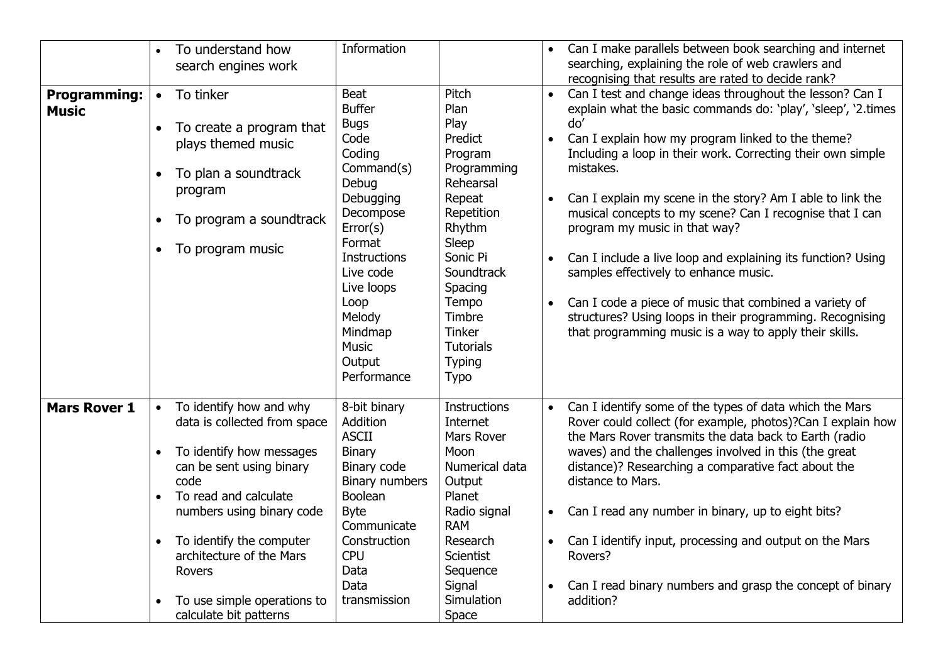|                                     |                                                               | To understand how<br>search engines work                                                                                                                                                                                                                                                                 | Information                                                                                                                                                                                                                                           |                                                                                                                                                                                                                                                 | $\bullet$                                                     | Can I make parallels between book searching and internet<br>searching, explaining the role of web crawlers and                                                                                                                                                                                                                                                                                                                                                                                                                                                                                                                                                                                                                                                               |
|-------------------------------------|---------------------------------------------------------------|----------------------------------------------------------------------------------------------------------------------------------------------------------------------------------------------------------------------------------------------------------------------------------------------------------|-------------------------------------------------------------------------------------------------------------------------------------------------------------------------------------------------------------------------------------------------------|-------------------------------------------------------------------------------------------------------------------------------------------------------------------------------------------------------------------------------------------------|---------------------------------------------------------------|------------------------------------------------------------------------------------------------------------------------------------------------------------------------------------------------------------------------------------------------------------------------------------------------------------------------------------------------------------------------------------------------------------------------------------------------------------------------------------------------------------------------------------------------------------------------------------------------------------------------------------------------------------------------------------------------------------------------------------------------------------------------------|
| <b>Programming:</b><br><b>Music</b> | $\bullet$<br>$\bullet$<br>$\bullet$<br>$\bullet$<br>$\bullet$ | To tinker<br>To create a program that<br>plays themed music<br>To plan a soundtrack<br>program<br>To program a soundtrack<br>To program music                                                                                                                                                            | Beat<br><b>Buffer</b><br><b>Bugs</b><br>Code<br>Coding<br>Command(s)<br>Debug<br>Debugging<br>Decompose<br>Error(s)<br>Format<br><b>Instructions</b><br>Live code<br>Live loops<br>Loop<br>Melody<br>Mindmap<br><b>Music</b><br>Output<br>Performance | Pitch<br>Plan<br>Play<br>Predict<br>Program<br>Programming<br>Rehearsal<br>Repeat<br>Repetition<br>Rhythm<br>Sleep<br>Sonic Pi<br>Soundtrack<br>Spacing<br>Tempo<br>Timbre<br><b>Tinker</b><br><b>Tutorials</b><br><b>Typing</b><br><b>Typo</b> | $\bullet$<br>$\bullet$<br>$\bullet$<br>$\bullet$<br>$\bullet$ | recognising that results are rated to decide rank?<br>Can I test and change ideas throughout the lesson? Can I<br>explain what the basic commands do: 'play', 'sleep', '2.times<br>do'<br>Can I explain how my program linked to the theme?<br>Including a loop in their work. Correcting their own simple<br>mistakes.<br>Can I explain my scene in the story? Am I able to link the<br>musical concepts to my scene? Can I recognise that I can<br>program my music in that way?<br>Can I include a live loop and explaining its function? Using<br>samples effectively to enhance music.<br>Can I code a piece of music that combined a variety of<br>structures? Using loops in their programming. Recognising<br>that programming music is a way to apply their skills. |
| <b>Mars Rover 1</b>                 | $\bullet$<br>$\bullet$<br>$\bullet$                           | To identify how and why<br>data is collected from space<br>To identify how messages<br>can be sent using binary<br>code<br>To read and calculate<br>numbers using binary code<br>To identify the computer<br>architecture of the Mars<br>Rovers<br>To use simple operations to<br>calculate bit patterns | 8-bit binary<br>Addition<br><b>ASCII</b><br>Binary<br>Binary code<br>Binary numbers<br>Boolean<br><b>Byte</b><br>Communicate<br>Construction<br><b>CPU</b><br>Data<br>Data<br>transmission                                                            | <b>Instructions</b><br>Internet<br>Mars Rover<br>Moon<br>Numerical data<br>Output<br>Planet<br>Radio signal<br><b>RAM</b><br>Research<br><b>Scientist</b><br>Sequence<br>Signal<br>Simulation<br>Space                                          | $\bullet$<br>$\bullet$                                        | Can I identify some of the types of data which the Mars<br>Rover could collect (for example, photos)?Can I explain how<br>the Mars Rover transmits the data back to Earth (radio<br>waves) and the challenges involved in this (the great<br>distance)? Researching a comparative fact about the<br>distance to Mars.<br>Can I read any number in binary, up to eight bits?<br>Can I identify input, processing and output on the Mars<br>Rovers?<br>Can I read binary numbers and grasp the concept of binary<br>addition?                                                                                                                                                                                                                                                  |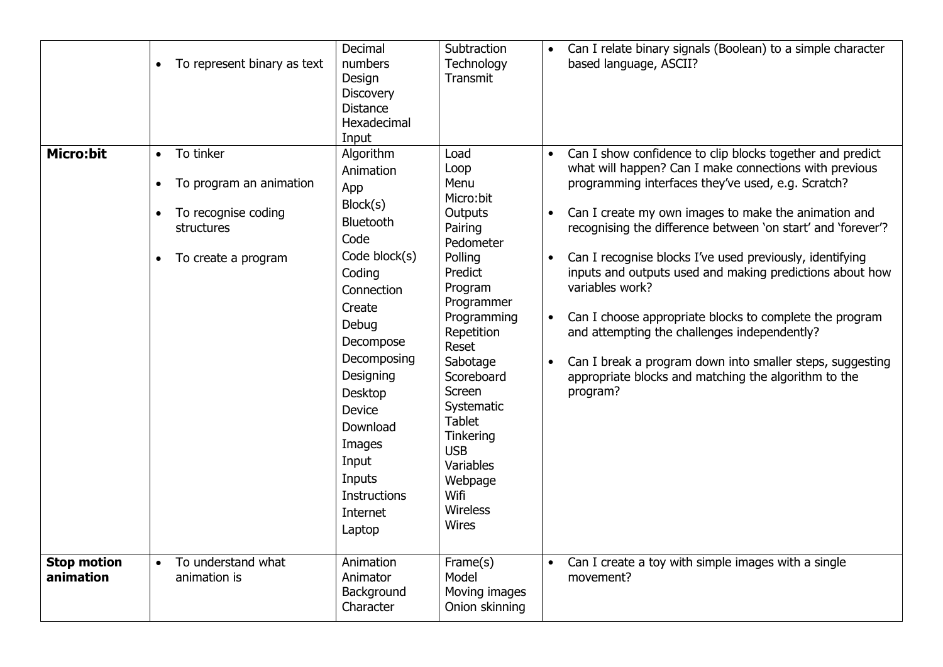|                                 | To represent binary as text<br>$\bullet$                                                                                                | Decimal<br>numbers<br>Design<br><b>Discovery</b><br><b>Distance</b><br>Hexadecimal<br>Input                                                                                                                                                                                           | Subtraction<br>Technology<br>Transmit                                                                                                                                                                                                                                                                        |                                     | Can I relate binary signals (Boolean) to a simple character<br>based language, ASCII?                                                                                                                                                                                                                                                                                                                                                                                                                                                                                                                                                                                                    |
|---------------------------------|-----------------------------------------------------------------------------------------------------------------------------------------|---------------------------------------------------------------------------------------------------------------------------------------------------------------------------------------------------------------------------------------------------------------------------------------|--------------------------------------------------------------------------------------------------------------------------------------------------------------------------------------------------------------------------------------------------------------------------------------------------------------|-------------------------------------|------------------------------------------------------------------------------------------------------------------------------------------------------------------------------------------------------------------------------------------------------------------------------------------------------------------------------------------------------------------------------------------------------------------------------------------------------------------------------------------------------------------------------------------------------------------------------------------------------------------------------------------------------------------------------------------|
| <b>Micro:bit</b>                | To tinker<br>$\bullet$<br>To program an animation<br>$\bullet$<br>To recognise coding<br>structures<br>To create a program<br>$\bullet$ | Algorithm<br>Animation<br>App<br>Block(s)<br>Bluetooth<br>Code<br>Code block(s)<br>Coding<br>Connection<br>Create<br>Debug<br>Decompose<br>Decomposing<br>Designing<br>Desktop<br><b>Device</b><br>Download<br>Images<br>Input<br>Inputs<br><b>Instructions</b><br>Internet<br>Laptop | Load<br>Loop<br>Menu<br>Micro:bit<br>Outputs<br>Pairing<br>Pedometer<br>Polling<br>Predict<br>Program<br>Programmer<br>Programming<br>Repetition<br>Reset<br>Sabotage<br>Scoreboard<br>Screen<br>Systematic<br><b>Tablet</b><br>Tinkering<br><b>USB</b><br>Variables<br>Webpage<br>Wifi<br>Wireless<br>Wires | $\bullet$<br>$\bullet$<br>$\bullet$ | Can I show confidence to clip blocks together and predict<br>what will happen? Can I make connections with previous<br>programming interfaces they've used, e.g. Scratch?<br>Can I create my own images to make the animation and<br>recognising the difference between 'on start' and 'forever'?<br>Can I recognise blocks I've used previously, identifying<br>inputs and outputs used and making predictions about how<br>variables work?<br>Can I choose appropriate blocks to complete the program<br>and attempting the challenges independently?<br>Can I break a program down into smaller steps, suggesting<br>appropriate blocks and matching the algorithm to the<br>program? |
| <b>Stop motion</b><br>animation | To understand what<br>$\bullet$<br>animation is                                                                                         | Animation<br>Animator<br>Background<br>Character                                                                                                                                                                                                                                      | Frame(s)<br>Model<br>Moving images<br>Onion skinning                                                                                                                                                                                                                                                         | $\bullet$                           | Can I create a toy with simple images with a single<br>movement?                                                                                                                                                                                                                                                                                                                                                                                                                                                                                                                                                                                                                         |